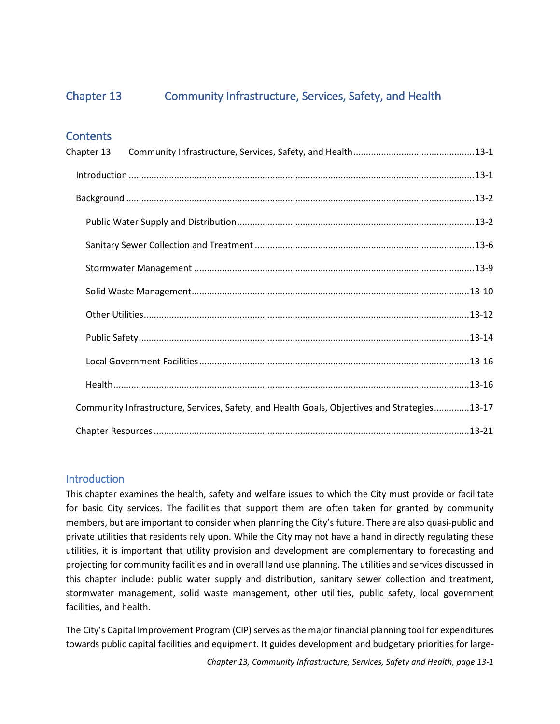Chapter 13.

# **Community Infrastructure, Services, Safety, and Health**









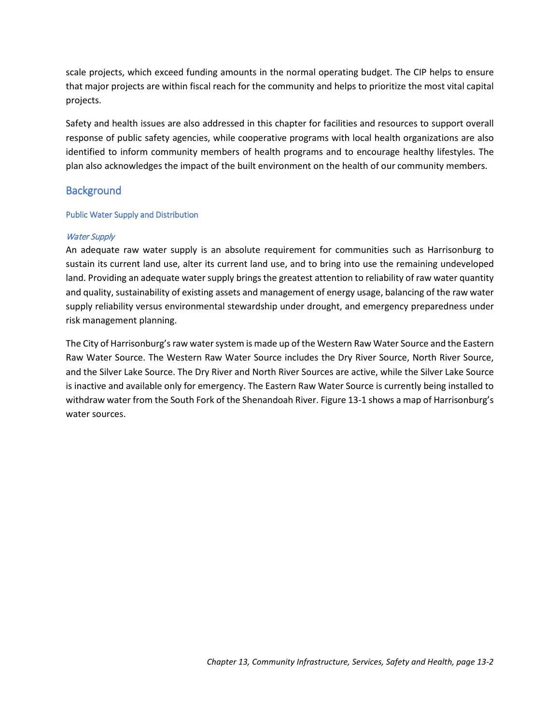# <span id="page-1-0"></span>Chapter 13 Community Infrastructure, Services, Safety, and Health

# **Contents**

| Chapter 13 |                                                                                              |  |
|------------|----------------------------------------------------------------------------------------------|--|
|            |                                                                                              |  |
|            |                                                                                              |  |
|            |                                                                                              |  |
|            |                                                                                              |  |
|            |                                                                                              |  |
|            |                                                                                              |  |
|            |                                                                                              |  |
|            |                                                                                              |  |
|            |                                                                                              |  |
|            |                                                                                              |  |
|            | Community Infrastructure, Services, Safety, and Health Goals, Objectives and Strategies13-17 |  |
|            |                                                                                              |  |

# <span id="page-1-1"></span>**Introduction**

This chapter examines the health, safety and welfare issues to which the City must provide or facilitate for basic City services. The facilities that support them are often taken for granted by community members, but are important to consider when planning the City's future. There are also quasi-public and private utilities that residents rely upon. While the City may not have a hand in directly regulating these utilities, it is important that utility provision and development are complementary to forecasting and projecting for community facilities and in overall land use planning. The utilities and services discussed in this chapter include: public water supply and distribution, sanitary sewer collection and treatment, stormwater management, solid waste management, other utilities, public safety, local government facilities, and health.

The City's Capital Improvement Program (CIP) serves as the major financial planning tool for expenditures towards public capital facilities and equipment. It guides development and budgetary priorities for large-

*Chapter 13, Community Infrastructure, Services, Safety and Health, page 13-1*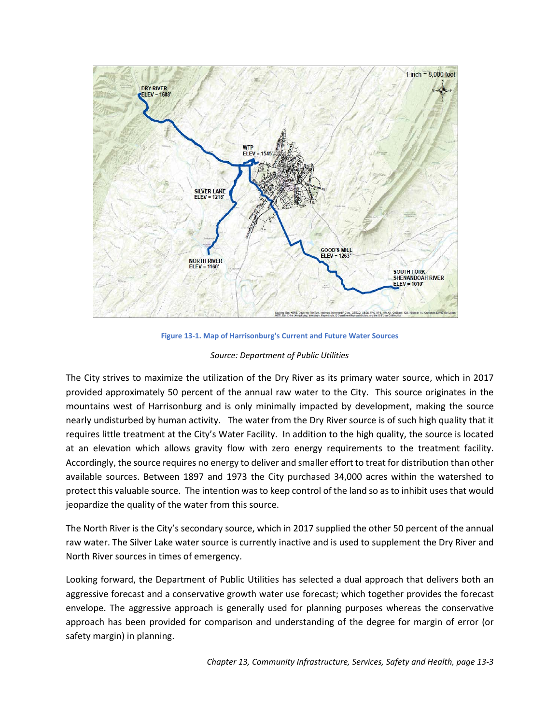scale projects, which exceed funding amounts in the normal operating budget. The CIP helps to ensure that major projects are within fiscal reach for the community and helps to prioritize the most vital capital projects.

Safety and health issues are also addressed in this chapter for facilities and resources to support overall response of public safety agencies, while cooperative programs with local health organizations are also identified to inform community members of health programs and to encourage healthy lifestyles. The plan also acknowledges the impact of the built environment on the health of our community members.

# <span id="page-2-0"></span>**Background**

# <span id="page-2-1"></span>Public Water Supply and Distribution

# Water Supply

An adequate raw water supply is an absolute requirement for communities such as Harrisonburg to sustain its current land use, alter its current land use, and to bring into use the remaining undeveloped land. Providing an adequate water supply brings the greatest attention to reliability of raw water quantity and quality, sustainability of existing assets and management of energy usage, balancing of the raw water supply reliability versus environmental stewardship under drought, and emergency preparedness under risk management planning.

The City of Harrisonburg's raw water system is made up of the Western Raw Water Source and the Eastern Raw Water Source. The Western Raw Water Source includes the Dry River Source, North River Source, and the Silver Lake Source. The Dry River and North River Sources are active, while the Silver Lake Source is inactive and available only for emergency. The Eastern Raw Water Source is currently being installed to withdraw water from the South Fork of the Shenandoah River[. Figure 13-1](#page-3-0) shows a map of Harrisonburg's water sources.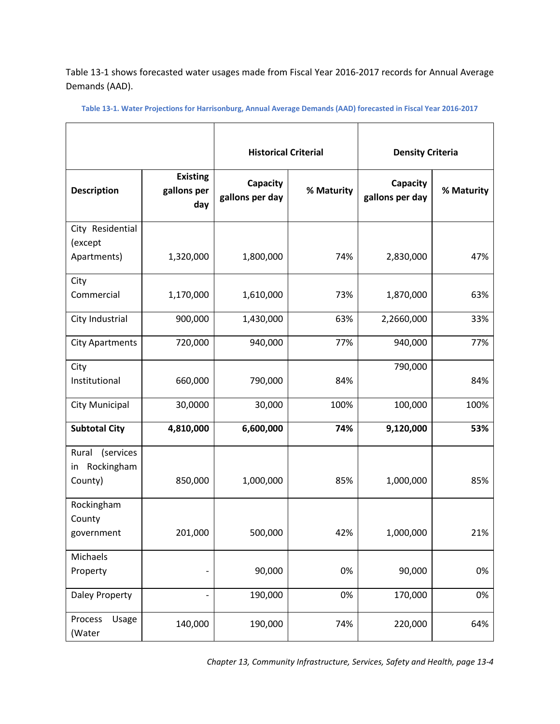

**Figure 13-1. Map of Harrisonburg's Current and Future Water Sources**

#### *Source: Department of Public Utilities*

<span id="page-3-0"></span>The City strives to maximize the utilization of the Dry River as its primary water source, which in 2017 provided approximately 50 percent of the annual raw water to the City. This source originates in the mountains west of Harrisonburg and is only minimally impacted by development, making the source nearly undisturbed by human activity. The water from the Dry River source is of such high quality that it requires little treatment at the City's Water Facility. In addition to the high quality, the source is located at an elevation which allows gravity flow with zero energy requirements to the treatment facility. Accordingly, the source requires no energy to deliver and smaller effort to treat for distribution than other available sources. Between 1897 and 1973 the City purchased 34,000 acres within the watershed to protect this valuable source. The intention was to keep control of the land so as to inhibit uses that would jeopardize the quality of the water from this source.

The North River is the City's secondary source, which in 2017 supplied the other 50 percent of the annual raw water. The Silver Lake water source is currently inactive and is used to supplement the Dry River and North River sources in times of emergency.

Looking forward, the Department of Public Utilities has selected a dual approach that delivers both an aggressive forecast and a conservative growth water use forecast; which together provides the forecast envelope. The aggressive approach is generally used for planning purposes whereas the conservative approach has been provided for comparison and understanding of the degree for margin of error (or safety margin) in planning.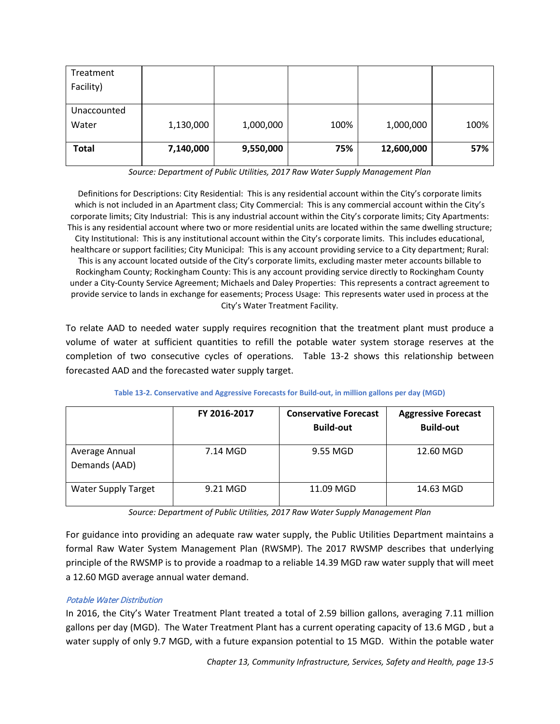[Table 13-1](#page-4-0) shows forecasted water usages made from Fiscal Year 2016-2017 records for Annual Average Demands (AAD).

<span id="page-4-0"></span>**Table 13-1. Water Projections for Harrisonburg, Annual Average Demands (AAD) forecasted in Fiscal Year 2016-2017**

|                                                   |                                       | <b>Historical Criterial</b> |            | <b>Density Criteria</b>     |            |
|---------------------------------------------------|---------------------------------------|-----------------------------|------------|-----------------------------|------------|
| <b>Description</b>                                | <b>Existing</b><br>gallons per<br>day | Capacity<br>gallons per day | % Maturity | Capacity<br>gallons per day | % Maturity |
| City Residential                                  |                                       |                             |            |                             |            |
| (except<br>Apartments)                            | 1,320,000                             | 1,800,000                   | 74%        | 2,830,000                   | 47%        |
| City                                              |                                       |                             |            |                             |            |
| Commercial                                        | 1,170,000                             | 1,610,000                   | 73%        | 1,870,000                   | 63%        |
| City Industrial                                   | 900,000                               | 1,430,000                   | 63%        | 2,2660,000                  | 33%        |
| <b>City Apartments</b>                            | 720,000                               | 940,000                     | 77%        | 940,000                     | 77%        |
| City                                              |                                       |                             |            | 790,000                     |            |
| Institutional                                     | 660,000                               | 790,000                     | 84%        |                             | 84%        |
| City Municipal                                    | 30,0000                               | 30,000                      | 100%       | 100,000                     | 100%       |
| <b>Subtotal City</b>                              | 4,810,000                             | 6,600,000                   | 74%        | 9,120,000                   | 53%        |
| (services<br>Rural<br>Rockingham<br>in<br>County) | 850,000                               | 1,000,000                   | 85%        | 1,000,000                   | 85%        |
|                                                   |                                       |                             |            |                             |            |
| Rockingham<br>County                              |                                       |                             |            |                             |            |
| government                                        | 201,000                               | 500,000                     | 42%        | 1,000,000                   | 21%        |
| Michaels                                          |                                       |                             |            |                             |            |
| Property                                          |                                       | 90,000                      | 0%         | 90,000                      | 0%         |
| <b>Daley Property</b>                             |                                       | 190,000                     | 0%         | 170,000                     | 0%         |
| Process<br>Usage<br>(Water                        | 140,000                               | 190,000                     | 74%        | 220,000                     | 64%        |

*Chapter 13, Community Infrastructure, Services, Safety and Health, page 13-4*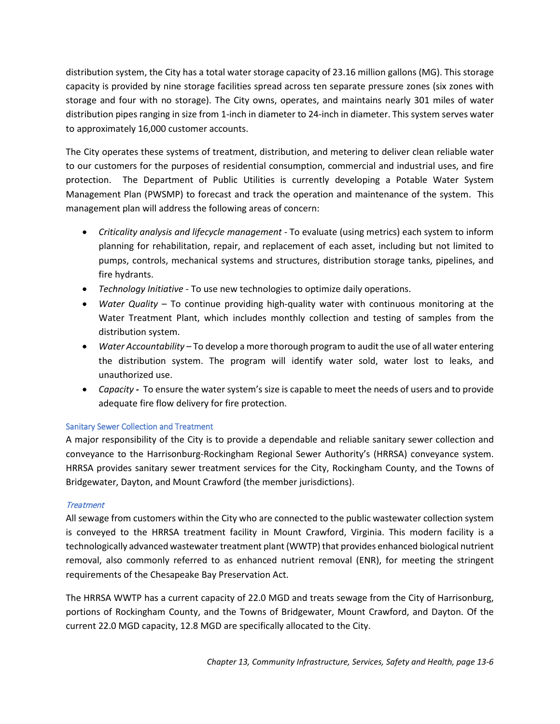| Treatment    |           |           |      |            |      |
|--------------|-----------|-----------|------|------------|------|
| Facility)    |           |           |      |            |      |
|              |           |           |      |            |      |
| Unaccounted  |           |           |      |            |      |
| Water        | 1,130,000 | 1,000,000 | 100% | 1,000,000  | 100% |
|              |           |           |      |            |      |
| <b>Total</b> | 7,140,000 | 9,550,000 | 75%  | 12,600,000 | 57%  |
|              |           |           |      |            |      |

*Source: Department of Public Utilities, 2017 Raw Water Supply Management Plan*

Definitions for Descriptions: City Residential: This is any residential account within the City's corporate limits which is not included in an Apartment class; City Commercial: This is any commercial account within the City's corporate limits; City Industrial: This is any industrial account within the City's corporate limits; City Apartments: This is any residential account where two or more residential units are located within the same dwelling structure; City Institutional: This is any institutional account within the City's corporate limits. This includes educational, healthcare or support facilities; City Municipal: This is any account providing service to a City department; Rural: This is any account located outside of the City's corporate limits, excluding master meter accounts billable to Rockingham County; Rockingham County: This is any account providing service directly to Rockingham County under a City-County Service Agreement; Michaels and Daley Properties: This represents a contract agreement to provide service to lands in exchange for easements; Process Usage: This represents water used in process at the City's Water Treatment Facility.

To relate AAD to needed water supply requires recognition that the treatment plant must produce a volume of water at sufficient quantities to refill the potable water system storage reserves at the completion of two consecutive cycles of operations. [Table 13-2](#page-5-0) shows this relationship between forecasted AAD and the forecasted water supply target.

<span id="page-5-0"></span>

|                                 | FY 2016-2017 | <b>Conservative Forecast</b><br><b>Build-out</b> | <b>Aggressive Forecast</b><br><b>Build-out</b> |
|---------------------------------|--------------|--------------------------------------------------|------------------------------------------------|
| Average Annual<br>Demands (AAD) | 7.14 MGD     | 9.55 MGD                                         | 12.60 MGD                                      |
| <b>Water Supply Target</b>      | 9.21 MGD     | 11.09 MGD                                        | 14.63 MGD                                      |

**Table 13-2. Conservative and Aggressive Forecasts for Build-out, in million gallons per day (MGD)**

*Source: Department of Public Utilities, 2017 Raw Water Supply Management Plan*

For guidance into providing an adequate raw water supply, the Public Utilities Department maintains a formal Raw Water System Management Plan (RWSMP). The 2017 RWSMP describes that underlying principle of the RWSMP is to provide a roadmap to a reliable 14.39 MGD raw water supply that will meet a 12.60 MGD average annual water demand.

# Potable Water Distribution

In 2016, the City's Water Treatment Plant treated a total of 2.59 billion gallons, averaging 7.11 million gallons per day (MGD). The Water Treatment Plant has a current operating capacity of 13.6 MGD , but a water supply of only 9.7 MGD, with a future expansion potential to 15 MGD. Within the potable water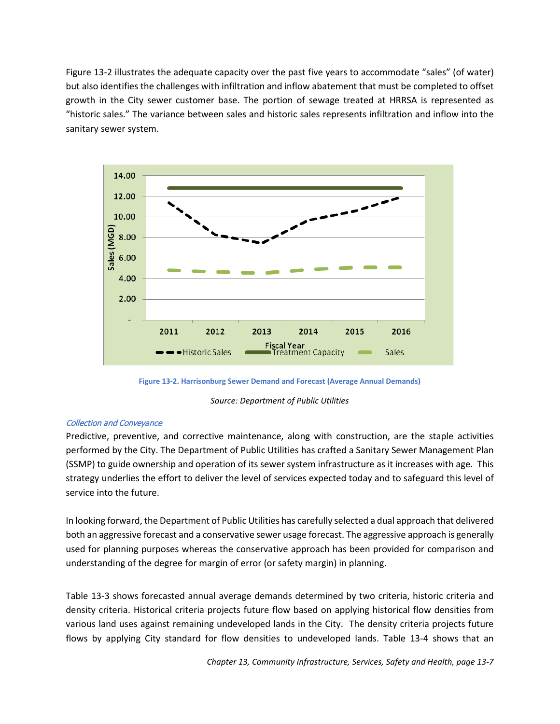distribution system, the City has a total water storage capacity of 23.16 million gallons (MG). This storage capacity is provided by nine storage facilities spread across ten separate pressure zones (six zones with storage and four with no storage). The City owns, operates, and maintains nearly 301 miles of water distribution pipes ranging in size from 1-inch in diameter to 24-inch in diameter. This system serves water to approximately 16,000 customer accounts.

The City operates these systems of treatment, distribution, and metering to deliver clean reliable water to our customers for the purposes of residential consumption, commercial and industrial uses, and fire protection. The Department of Public Utilities is currently developing a Potable Water System Management Plan (PWSMP) to forecast and track the operation and maintenance of the system. This management plan will address the following areas of concern:

- *Criticality analysis and lifecycle management* To evaluate (using metrics) each system to inform planning for rehabilitation, repair, and replacement of each asset, including but not limited to pumps, controls, mechanical systems and structures, distribution storage tanks, pipelines, and fire hydrants.
- *Technology Initiative* To use new technologies to optimize daily operations.
- *Water Quality* To continue providing high-quality water with continuous monitoring at the Water Treatment Plant, which includes monthly collection and testing of samples from the distribution system.
- *Water Accountability*  To develop a more thorough program to audit the use of all water entering the distribution system. The program will identify water sold, water lost to leaks, and unauthorized use.
- *Capacity -* To ensure the water system's size is capable to meet the needs of users and to provide adequate fire flow delivery for fire protection.

# <span id="page-6-0"></span>Sanitary Sewer Collection and Treatment

A major responsibility of the City is to provide a dependable and reliable sanitary sewer collection and conveyance to the Harrisonburg-Rockingham Regional Sewer Authority's (HRRSA) conveyance system. HRRSA provides sanitary sewer treatment services for the City, Rockingham County, and the Towns of Bridgewater, Dayton, and Mount Crawford (the member jurisdictions).

# **Treatment**

All sewage from customers within the City who are connected to the public wastewater collection system is conveyed to the HRRSA treatment facility in Mount Crawford, Virginia. This modern facility is a technologically advanced wastewater treatment plant (WWTP) that provides enhanced biological nutrient removal, also commonly referred to as enhanced nutrient removal (ENR), for meeting the stringent requirements of the Chesapeake Bay Preservation Act.

The HRRSA WWTP has a current capacity of 22.0 MGD and treats sewage from the City of Harrisonburg, portions of Rockingham County, and the Towns of Bridgewater, Mount Crawford, and Dayton. Of the current 22.0 MGD capacity, 12.8 MGD are specifically allocated to the City.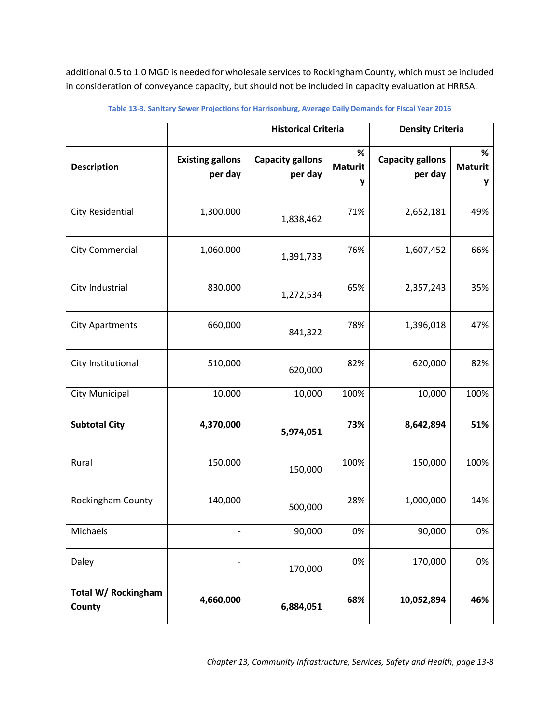[Figure 13-2](#page-7-0) illustrates the adequate capacity over the past five years to accommodate "sales" (of water) but also identifies the challenges with infiltration and inflow abatement that must be completed to offset growth in the City sewer customer base. The portion of sewage treated at HRRSA is represented as "historic sales." The variance between sales and historic sales represents infiltration and inflow into the sanitary sewer system.



**Figure 13-2. Harrisonburg Sewer Demand and Forecast (Average Annual Demands)**

*Source: Department of Public Utilities*

#### <span id="page-7-0"></span>Collection and Conveyance

Predictive, preventive, and corrective maintenance, along with construction, are the staple activities performed by the City. The Department of Public Utilities has crafted a Sanitary Sewer Management Plan (SSMP) to guide ownership and operation of its sewer system infrastructure as it increases with age. This strategy underlies the effort to deliver the level of services expected today and to safeguard this level of service into the future.

In looking forward, the Department of Public Utilities has carefully selected a dual approach that delivered both an aggressive forecast and a conservative sewer usage forecast. The aggressive approach is generally used for planning purposes whereas the conservative approach has been provided for comparison and understanding of the degree for margin of error (or safety margin) in planning.

[Table 13-3](#page-8-0) shows forecasted annual average demands determined by two criteria, historic criteria and density criteria. Historical criteria projects future flow based on applying historical flow densities from various land uses against remaining undeveloped lands in the City. The density criteria projects future flows by applying City standard for flow densities to undeveloped lands. Table 13-4 shows that an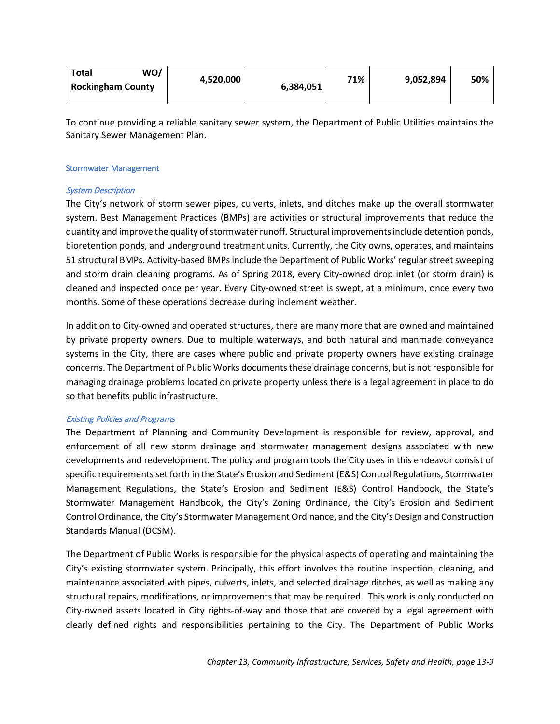additional 0.5 to 1.0 MGD is needed for wholesale services to Rockingham County, which must be included in consideration of conveyance capacity, but should not be included in capacity evaluation at HRRSA.

|                               |                                    | <b>Historical Criteria</b>         |                          | <b>Density Criteria</b>            |                          |
|-------------------------------|------------------------------------|------------------------------------|--------------------------|------------------------------------|--------------------------|
| <b>Description</b>            | <b>Existing gallons</b><br>per day | <b>Capacity gallons</b><br>per day | %<br><b>Maturit</b><br>у | <b>Capacity gallons</b><br>per day | %<br><b>Maturit</b><br>у |
| <b>City Residential</b>       | 1,300,000                          | 1,838,462                          | 71%                      | 2,652,181                          | 49%                      |
| <b>City Commercial</b>        | 1,060,000                          | 1,391,733                          | 76%                      | 1,607,452                          | 66%                      |
| City Industrial               | 830,000                            | 1,272,534                          | 65%                      | 2,357,243                          | 35%                      |
| <b>City Apartments</b>        | 660,000                            | 841,322                            | 78%                      | 1,396,018                          | 47%                      |
| City Institutional            | 510,000                            | 620,000                            | 82%                      | 620,000                            | 82%                      |
| <b>City Municipal</b>         | 10,000                             | 10,000                             | 100%                     | 10,000                             | 100%                     |
| <b>Subtotal City</b>          | 4,370,000                          | 5,974,051                          | 73%                      | 8,642,894                          | 51%                      |
| Rural                         | 150,000                            | 150,000                            | 100%                     | 150,000                            | 100%                     |
| Rockingham County             | 140,000                            | 500,000                            | 28%                      | 1,000,000                          | 14%                      |
| Michaels                      |                                    | 90,000                             | 0%                       | 90,000                             | 0%                       |
| Daley                         |                                    | 170,000                            | 0%                       | 170,000                            | 0%                       |
| Total W/ Rockingham<br>County | 4,660,000                          | 6,884,051                          | 68%                      | 10,052,894                         | 46%                      |

<span id="page-8-0"></span>**Table 13-3. Sanitary Sewer Projections for Harrisonburg, Average Daily Demands for Fiscal Year 2016**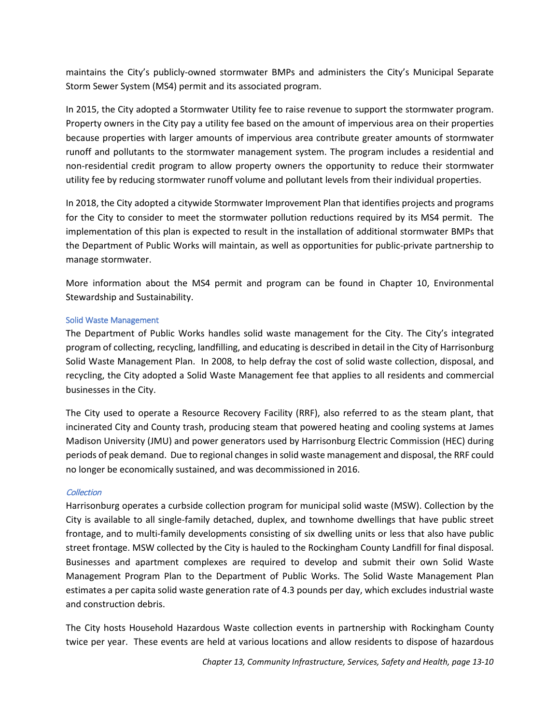| WO/<br><b>Total</b>      | 4,520,000 | 6,384,051 | 71% | 9,052,894 | 50% |
|--------------------------|-----------|-----------|-----|-----------|-----|
| <b>Rockingham County</b> |           |           |     |           |     |
|                          |           |           |     |           |     |

To continue providing a reliable sanitary sewer system, the Department of Public Utilities maintains the Sanitary Sewer Management Plan.

#### <span id="page-9-0"></span>Stormwater Management

### System Description

The City's network of storm sewer pipes, culverts, inlets, and ditches make up the overall stormwater system. Best Management Practices (BMPs) are activities or structural improvements that reduce the quantity and improve the quality of stormwater runoff. Structural improvements include detention ponds, bioretention ponds, and underground treatment units. Currently, the City owns, operates, and maintains 51 structural BMPs. Activity-based BMPs include the Department of Public Works'regular street sweeping and storm drain cleaning programs. As of Spring 2018, every City-owned drop inlet (or storm drain) is cleaned and inspected once per year. Every City-owned street is swept, at a minimum, once every two months. Some of these operations decrease during inclement weather.

In addition to City-owned and operated structures, there are many more that are owned and maintained by private property owners. Due to multiple waterways, and both natural and manmade conveyance systems in the City, there are cases where public and private property owners have existing drainage concerns. The Department of Public Works documents these drainage concerns, but is not responsible for managing drainage problems located on private property unless there is a legal agreement in place to do so that benefits public infrastructure.

# Existing Policies and Programs

The Department of Planning and Community Development is responsible for review, approval, and enforcement of all new storm drainage and stormwater management designs associated with new developments and redevelopment. The policy and program tools the City uses in this endeavor consist of specific requirements set forth in the State's Erosion and Sediment (E&S) Control Regulations, Stormwater Management Regulations, the State's Erosion and Sediment (E&S) Control Handbook, the State's Stormwater Management Handbook, the City's Zoning Ordinance, the City's Erosion and Sediment Control Ordinance, the City's Stormwater Management Ordinance, and the City's Design and Construction Standards Manual (DCSM).

The Department of Public Works is responsible for the physical aspects of operating and maintaining the City's existing stormwater system. Principally, this effort involves the routine inspection, cleaning, and maintenance associated with pipes, culverts, inlets, and selected drainage ditches, as well as making any structural repairs, modifications, or improvements that may be required. This work is only conducted on City-owned assets located in City rights-of-way and those that are covered by a legal agreement with clearly defined rights and responsibilities pertaining to the City. The Department of Public Works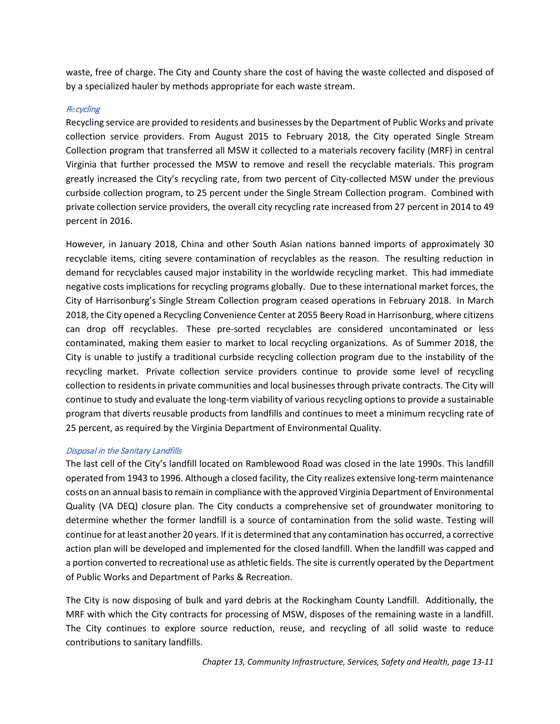maintains the City's publicly-owned stormwater BMPs and administers the City's Municipal Separate Storm Sewer System (MS4) permit and its associated program.

In 2015, the City adopted a Stormwater Utility fee to raise revenue to support the stormwater program. Property owners in the City pay a utility fee based on the amount of impervious area on their properties because properties with larger amounts of impervious area contribute greater amounts of stormwater runoff and pollutants to the stormwater management system. The program includes a residential and non-residential credit program to allow property owners the opportunity to reduce their stormwater utility fee by reducing stormwater runoff volume and pollutant levels from their individual properties.

In 2018, the City adopted a citywide Stormwater Improvement Plan that identifies projects and programs for the City to consider to meet the stormwater pollution reductions required by its MS4 permit. The implementation of this plan is expected to result in the installation of additional stormwater BMPs that the Department of Public Works will maintain, as well as opportunities for public-private partnership to manage stormwater.

More information about the MS4 permit and program can be found in Chapter 10, Environmental Stewardship and Sustainability.

#### <span id="page-10-0"></span>Solid Waste Management

The Department of Public Works handles solid waste management for the City. The City's integrated program of collecting, recycling, landfilling, and educating is described in detail in the City of Harrisonburg Solid Waste Management Plan. In 2008, to help defray the cost of solid waste collection, disposal, and recycling, the City adopted a Solid Waste Management fee that applies to all residents and commercial businesses in the City.

The City used to operate a Resource Recovery Facility (RRF), also referred to as the steam plant, that incinerated City and County trash, producing steam that powered heating and cooling systems at James Madison University (JMU) and power generators used by Harrisonburg Electric Commission (HEC) during periods of peak demand. Due to regional changes in solid waste management and disposal, the RRF could no longer be economically sustained, and was decommissioned in 2016.

#### **Collection**

Harrisonburg operates a curbside collection program for municipal solid waste (MSW). Collection by the City is available to all single-family detached, duplex, and townhome dwellings that have public street frontage, and to multi-family developments consisting of six dwelling units or less that also have public street frontage. MSW collected by the City is hauled to the Rockingham County Landfill for final disposal. Businesses and apartment complexes are required to develop and submit their own Solid Waste Management Program Plan to the Department of Public Works. The Solid Waste Management Plan estimates a per capita solid waste generation rate of 4.3 pounds per day, which excludes industrial waste and construction debris.

The City hosts Household Hazardous Waste collection events in partnership with Rockingham County twice per year. These events are held at various locations and allow residents to dispose of hazardous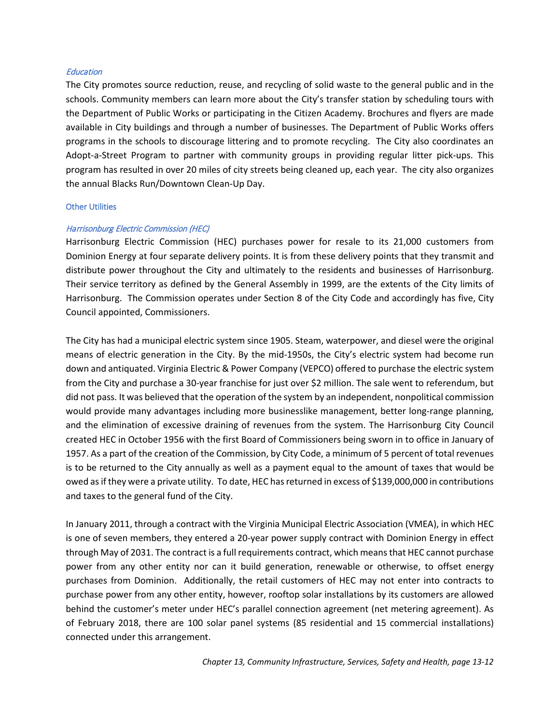waste, free of charge. The City and County share the cost of having the waste collected and disposed of by a specialized hauler by methods appropriate for each waste stream.

## **Recycling**

Recycling service are provided to residents and businesses by the Department of Public Works and private collection service providers. From August 2015 to February 2018, the City operated Single Stream Collection program that transferred all MSW it collected to a materials recovery facility (MRF) in central Virginia that further processed the MSW to remove and resell the recyclable materials. This program greatly increased the City's recycling rate, from two percent of City-collected MSW under the previous curbside collection program, to 25 percent under the Single Stream Collection program. Combined with private collection service providers, the overall city recycling rate increased from 27 percent in 2014 to 49 percent in 2016.

However, in January 2018, China and other South Asian nations banned imports of approximately 30 recyclable items, citing severe contamination of recyclables as the reason. The resulting reduction in demand for recyclables caused major instability in the worldwide recycling market. This had immediate negative costs implications for recycling programs globally. Due to these international market forces, the City of Harrisonburg's Single Stream Collection program ceased operations in February 2018. In March 2018, the City opened a Recycling Convenience Center at 2055 Beery Road in Harrisonburg, where citizens can drop off recyclables. These pre-sorted recyclables are considered uncontaminated or less contaminated, making them easier to market to local recycling organizations. As of Summer 2018, the City is unable to justify a traditional curbside recycling collection program due to the instability of the recycling market. Private collection service providers continue to provide some level of recycling collection to residents in private communities and local businessesthrough private contracts. The City will continue to study and evaluate the long-term viability of various recycling options to provide a sustainable program that diverts reusable products from landfills and continues to meet a minimum recycling rate of 25 percent, as required by the Virginia Department of Environmental Quality.

#### Disposal in the Sanitary Landfills

The last cell of the City's landfill located on Ramblewood Road was closed in the late 1990s. This landfill operated from 1943 to 1996. Although a closed facility, the City realizes extensive long-term maintenance costs on an annual basis to remain in compliance with the approved Virginia Department of Environmental Quality (VA DEQ) closure plan. The City conducts a comprehensive set of groundwater monitoring to determine whether the former landfill is a source of contamination from the solid waste. Testing will continue for at least another 20 years. If it is determined that any contamination has occurred, a corrective action plan will be developed and implemented for the closed landfill. When the landfill was capped and a portion converted to recreational use as athletic fields. The site is currently operated by the Department of Public Works and Department of Parks & Recreation.

The City is now disposing of bulk and yard debris at the Rockingham County Landfill. Additionally, the MRF with which the City contracts for processing of MSW, disposes of the remaining waste in a landfill. The City continues to explore source reduction, reuse, and recycling of all solid waste to reduce contributions to sanitary landfills.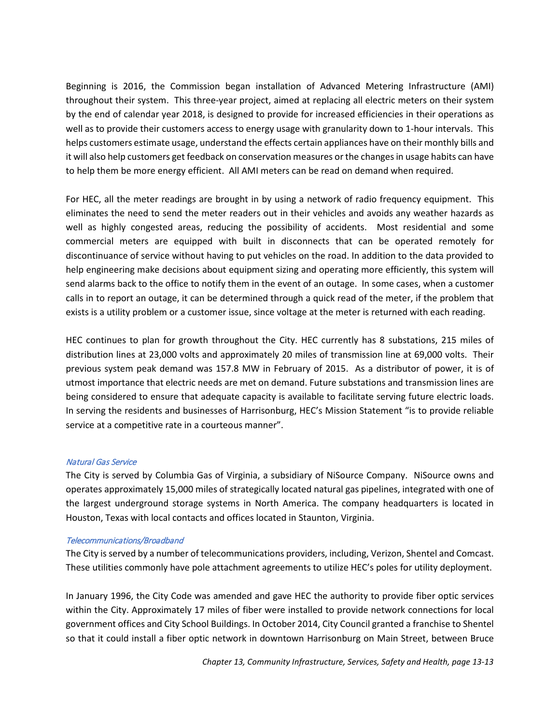#### **Education**

The City promotes source reduction, reuse, and recycling of solid waste to the general public and in the schools. Community members can learn more about the City's transfer station by scheduling tours with the Department of Public Works or participating in the Citizen Academy. Brochures and flyers are made available in City buildings and through a number of businesses. The Department of Public Works offers programs in the schools to discourage littering and to promote recycling. The City also coordinates an Adopt-a-Street Program to partner with community groups in providing regular litter pick-ups. This program has resulted in over 20 miles of city streets being cleaned up, each year. The city also organizes the annual Blacks Run/Downtown Clean-Up Day.

#### <span id="page-12-0"></span>Other Utilities

#### Harrisonburg Electric Commission (HEC)

Harrisonburg Electric Commission (HEC) purchases power for resale to its 21,000 customers from Dominion Energy at four separate delivery points. It is from these delivery points that they transmit and distribute power throughout the City and ultimately to the residents and businesses of Harrisonburg. Their service territory as defined by the General Assembly in 1999, are the extents of the City limits of Harrisonburg. The Commission operates under Section 8 of the City Code and accordingly has five, City Council appointed, Commissioners.

The City has had a municipal electric system since 1905. Steam, waterpower, and diesel were the original means of electric generation in the City. By the mid-1950s, the City's electric system had become run down and antiquated. Virginia Electric & Power Company (VEPCO) offered to purchase the electric system from the City and purchase a 30-year franchise for just over \$2 million. The sale went to referendum, but did not pass. It was believed that the operation of the system by an independent, nonpolitical commission would provide many advantages including more businesslike management, better long-range planning, and the elimination of excessive draining of revenues from the system. The Harrisonburg City Council created HEC in October 1956 with the first Board of Commissioners being sworn in to office in January of 1957. As a part of the creation of the Commission, by City Code, a minimum of 5 percent of total revenues is to be returned to the City annually as well as a payment equal to the amount of taxes that would be owed as if they were a private utility. To date, HEC has returned in excess of \$139,000,000 in contributions and taxes to the general fund of the City.

In January 2011, through a contract with the Virginia Municipal Electric Association (VMEA), in which HEC is one of seven members, they entered a 20-year power supply contract with Dominion Energy in effect through May of 2031. The contract is a full requirements contract, which means that HEC cannot purchase power from any other entity nor can it build generation, renewable or otherwise, to offset energy purchases from Dominion. Additionally, the retail customers of HEC may not enter into contracts to purchase power from any other entity, however, rooftop solar installations by its customers are allowed behind the customer's meter under HEC's parallel connection agreement (net metering agreement). As of February 2018, there are 100 solar panel systems (85 residential and 15 commercial installations) connected under this arrangement.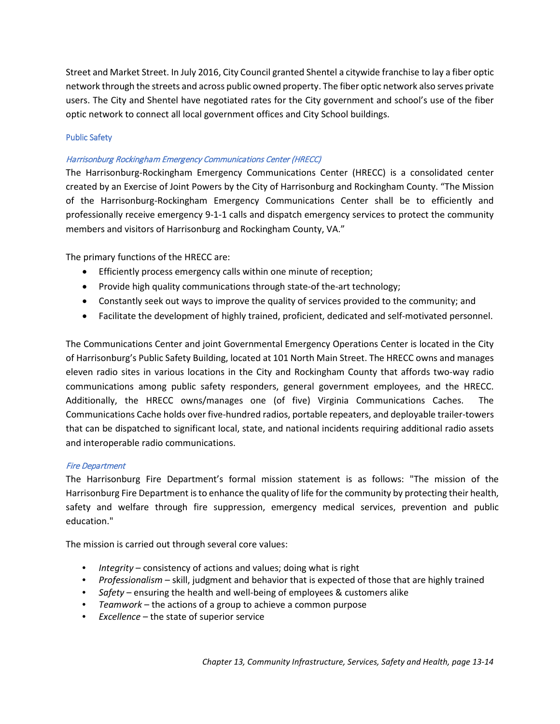Beginning is 2016, the Commission began installation of Advanced Metering Infrastructure (AMI) throughout their system. This three-year project, aimed at replacing all electric meters on their system by the end of calendar year 2018, is designed to provide for increased efficiencies in their operations as well as to provide their customers access to energy usage with granularity down to 1-hour intervals. This helps customers estimate usage, understand the effects certain appliances have on their monthly bills and it will also help customers get feedback on conservation measures or the changes in usage habits can have to help them be more energy efficient. All AMI meters can be read on demand when required.

For HEC, all the meter readings are brought in by using a network of radio frequency equipment. This eliminates the need to send the meter readers out in their vehicles and avoids any weather hazards as well as highly congested areas, reducing the possibility of accidents. Most residential and some commercial meters are equipped with built in disconnects that can be operated remotely for discontinuance of service without having to put vehicles on the road. In addition to the data provided to help engineering make decisions about equipment sizing and operating more efficiently, this system will send alarms back to the office to notify them in the event of an outage. In some cases, when a customer calls in to report an outage, it can be determined through a quick read of the meter, if the problem that exists is a utility problem or a customer issue, since voltage at the meter is returned with each reading.

HEC continues to plan for growth throughout the City. HEC currently has 8 substations, 215 miles of distribution lines at 23,000 volts and approximately 20 miles of transmission line at 69,000 volts. Their previous system peak demand was 157.8 MW in February of 2015. As a distributor of power, it is of utmost importance that electric needs are met on demand. Future substations and transmission lines are being considered to ensure that adequate capacity is available to facilitate serving future electric loads. In serving the residents and businesses of Harrisonburg, HEC's Mission Statement "is to provide reliable service at a competitive rate in a courteous manner".

#### Natural Gas Service

The City is served by Columbia Gas of Virginia, a subsidiary of NiSource Company. NiSource owns and operates approximately 15,000 miles of strategically located natural gas pipelines, integrated with one of the largest underground storage systems in North America. The company headquarters is located in Houston, Texas with local contacts and offices located in Staunton, Virginia.

#### Telecommunications/Broadband

The City is served by a number of telecommunications providers, including, Verizon, Shentel and Comcast. These utilities commonly have pole attachment agreements to utilize HEC's poles for utility deployment.

In January 1996, the City Code was amended and gave HEC the authority to provide fiber optic services within the City. Approximately 17 miles of fiber were installed to provide network connections for local government offices and City School Buildings. In October 2014, City Council granted a franchise to Shentel so that it could install a fiber optic network in downtown Harrisonburg on Main Street, between Bruce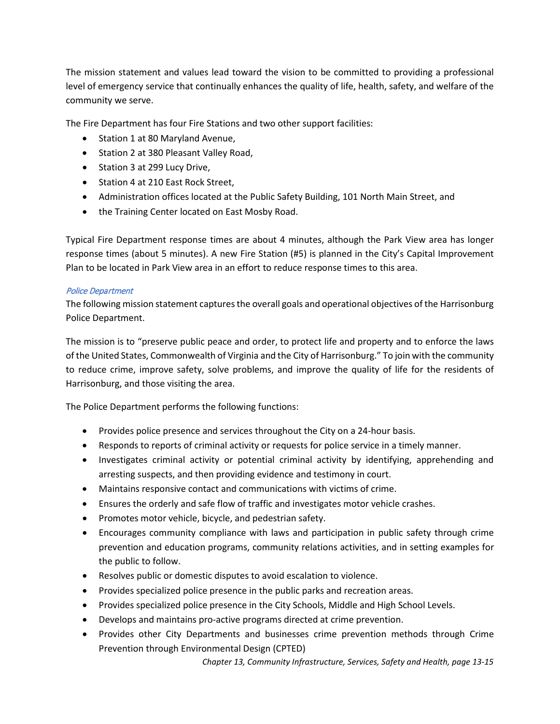Street and Market Street. In July 2016, City Council granted Shentel a citywide franchise to lay a fiber optic network through the streets and across public owned property. The fiber optic network also serves private users. The City and Shentel have negotiated rates for the City government and school's use of the fiber optic network to connect all local government offices and City School buildings.

## <span id="page-14-0"></span>Public Safety

## Harrisonburg Rockingham Emergency Communications Center (HRECC)

The Harrisonburg-Rockingham Emergency Communications Center (HRECC) is a consolidated center created by an Exercise of Joint Powers by the City of Harrisonburg and Rockingham County. "The Mission of the Harrisonburg-Rockingham Emergency Communications Center shall be to efficiently and professionally receive emergency 9-1-1 calls and dispatch emergency services to protect the community members and visitors of Harrisonburg and Rockingham County, VA."

The primary functions of the HRECC are:

- Efficiently process emergency calls within one minute of reception;
- Provide high quality communications through state-of the-art technology;
- Constantly seek out ways to improve the quality of services provided to the community; and
- Facilitate the development of highly trained, proficient, dedicated and self-motivated personnel.

The Communications Center and joint Governmental Emergency Operations Center is located in the City of Harrisonburg's Public Safety Building, located at 101 North Main Street. The HRECC owns and manages eleven radio sites in various locations in the City and Rockingham County that affords two-way radio communications among public safety responders, general government employees, and the HRECC. Additionally, the HRECC owns/manages one (of five) Virginia Communications Caches. The Communications Cache holds over five-hundred radios, portable repeaters, and deployable trailer-towers that can be dispatched to significant local, state, and national incidents requiring additional radio assets and interoperable radio communications.

#### Fire Department

The Harrisonburg Fire Department's formal mission statement is as follows: "The mission of the Harrisonburg Fire Department is to enhance the quality of life for the community by protecting their health, safety and welfare through fire suppression, emergency medical services, prevention and public education."

The mission is carried out through several core values:

- *Integrity* consistency of actions and values; doing what is right
- *Professionalism* skill, judgment and behavior that is expected of those that are highly trained
- *Safety* ensuring the health and well-being of employees & customers alike
- *Teamwork* the actions of a group to achieve a common purpose
- *Excellence* the state of superior service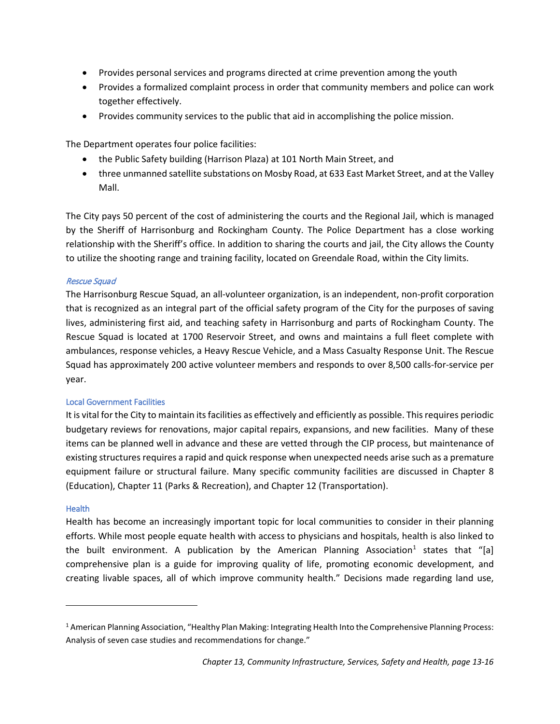The mission statement and values lead toward the vision to be committed to providing a professional level of emergency service that continually enhances the quality of life, health, safety, and welfare of the community we serve.

The Fire Department has four Fire Stations and two other support facilities:

- Station 1 at 80 Maryland Avenue,
- Station 2 at 380 Pleasant Valley Road,
- Station 3 at 299 Lucy Drive,
- Station 4 at 210 East Rock Street,
- Administration offices located at the Public Safety Building, 101 North Main Street, and
- the Training Center located on East Mosby Road.

Typical Fire Department response times are about 4 minutes, although the Park View area has longer response times (about 5 minutes). A new Fire Station (#5) is planned in the City's Capital Improvement Plan to be located in Park View area in an effort to reduce response times to this area.

# Police Department

The following mission statement captures the overall goals and operational objectives of the Harrisonburg Police Department.

The mission is to "preserve public peace and order, to protect life and property and to enforce the laws of the United States, Commonwealth of Virginia and the City of Harrisonburg." To join with the community to reduce crime, improve safety, solve problems, and improve the quality of life for the residents of Harrisonburg, and those visiting the area.

The Police Department performs the following functions:

- Provides police presence and services throughout the City on a 24-hour basis.
- Responds to reports of criminal activity or requests for police service in a timely manner.
- Investigates criminal activity or potential criminal activity by identifying, apprehending and arresting suspects, and then providing evidence and testimony in court.
- Maintains responsive contact and communications with victims of crime.
- Ensures the orderly and safe flow of traffic and investigates motor vehicle crashes.
- Promotes motor vehicle, bicycle, and pedestrian safety.
- Encourages community compliance with laws and participation in public safety through crime prevention and education programs, community relations activities, and in setting examples for the public to follow.
- Resolves public or domestic disputes to avoid escalation to violence.
- Provides specialized police presence in the public parks and recreation areas.
- Provides specialized police presence in the City Schools, Middle and High School Levels.
- Develops and maintains pro-active programs directed at crime prevention.
- Provides other City Departments and businesses crime prevention methods through Crime Prevention through Environmental Design (CPTED)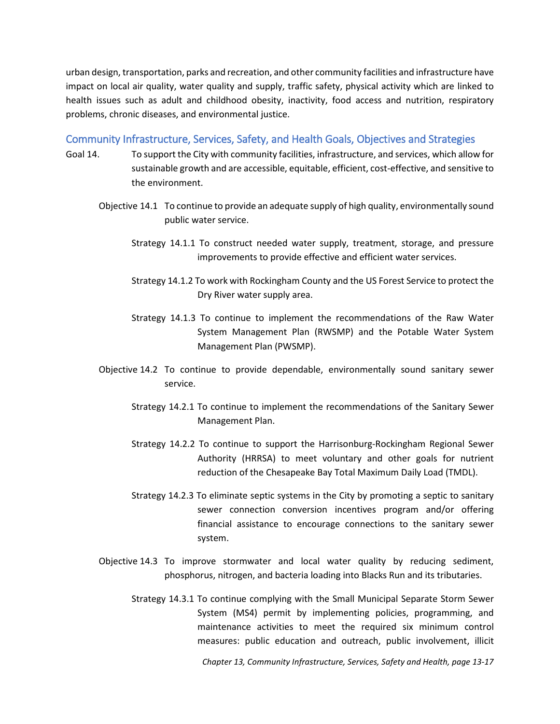- Provides personal services and programs directed at crime prevention among the youth
- Provides a formalized complaint process in order that community members and police can work together effectively.
- Provides community services to the public that aid in accomplishing the police mission.

The Department operates four police facilities:

- the Public Safety building (Harrison Plaza) at 101 North Main Street, and
- three unmanned satellite substations on Mosby Road, at 633 East Market Street, and at the Valley Mall.

The City pays 50 percent of the cost of administering the courts and the Regional Jail, which is managed by the Sheriff of Harrisonburg and Rockingham County. The Police Department has a close working relationship with the Sheriff's office. In addition to sharing the courts and jail, the City allows the County to utilize the shooting range and training facility, located on Greendale Road, within the City limits.

# Rescue Squad

The Harrisonburg Rescue Squad, an all-volunteer organization, is an independent, non-profit corporation that is recognized as an integral part of the official safety program of the City for the purposes of saving lives, administering first aid, and teaching safety in Harrisonburg and parts of Rockingham County. The Rescue Squad is located at 1700 Reservoir Street, and owns and maintains a full fleet complete with ambulances, response vehicles, a Heavy Rescue Vehicle, and a Mass Casualty Response Unit. The Rescue Squad has approximately 200 active volunteer members and responds to over 8,500 calls-for-service per year.

# <span id="page-16-0"></span>Local Government Facilities

It is vital for the City to maintain its facilities as effectively and efficiently as possible. This requires periodic budgetary reviews for renovations, major capital repairs, expansions, and new facilities. Many of these items can be planned well in advance and these are vetted through the CIP process, but maintenance of existing structures requires a rapid and quick response when unexpected needs arise such as a premature equipment failure or structural failure. Many specific community facilities are discussed in Chapter 8 (Education), Chapter 11 (Parks & Recreation), and Chapter 12 (Transportation).

# <span id="page-16-1"></span>**Health**

 $\overline{\phantom{a}}$ 

Health has become an increasingly important topic for local communities to consider in their planning efforts. While most people equate health with access to physicians and hospitals, health is also linked to the built environment. A publication by the American Planning Association<sup>[1](#page-16-2)</sup> states that "[a] comprehensive plan is a guide for improving quality of life, promoting economic development, and creating livable spaces, all of which improve community health." Decisions made regarding land use,

<span id="page-16-2"></span><sup>1</sup> American Planning Association, "Healthy Plan Making: Integrating Health Into the Comprehensive Planning Process: Analysis of seven case studies and recommendations for change."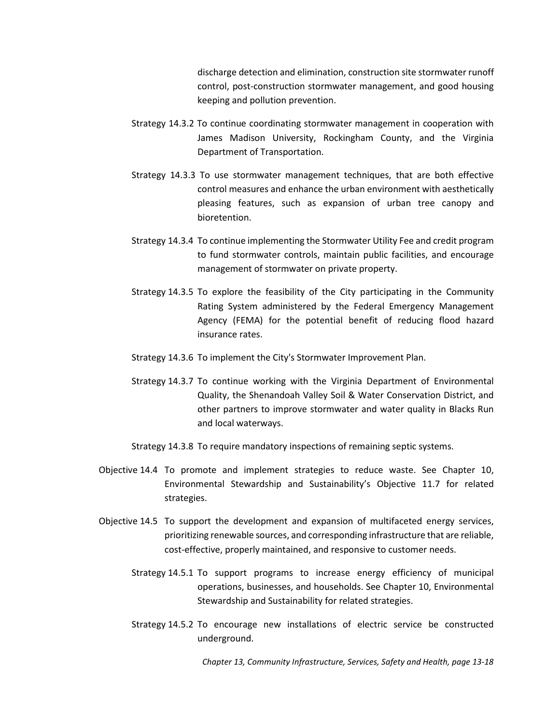urban design, transportation, parks and recreation, and other community facilities and infrastructure have impact on local air quality, water quality and supply, traffic safety, physical activity which are linked to health issues such as adult and childhood obesity, inactivity, food access and nutrition, respiratory problems, chronic diseases, and environmental justice.

# <span id="page-17-0"></span>Community Infrastructure, Services, Safety, and Health Goals, Objectives and Strategies

- Goal 14. To support the City with community facilities, infrastructure, and services, which allow for sustainable growth and are accessible, equitable, efficient, cost-effective, and sensitive to the environment.
	- Objective 14.1 To continue to provide an adequate supply of high quality, environmentally sound public water service.
		- Strategy 14.1.1 To construct needed water supply, treatment, storage, and pressure improvements to provide effective and efficient water services.
		- Strategy 14.1.2 To work with Rockingham County and the US Forest Service to protect the Dry River water supply area.
		- Strategy 14.1.3 To continue to implement the recommendations of the Raw Water System Management Plan (RWSMP) and the Potable Water System Management Plan (PWSMP).
	- Objective 14.2 To continue to provide dependable, environmentally sound sanitary sewer service.
		- Strategy 14.2.1 To continue to implement the recommendations of the Sanitary Sewer Management Plan.
		- Strategy 14.2.2 To continue to support the Harrisonburg-Rockingham Regional Sewer Authority (HRRSA) to meet voluntary and other goals for nutrient reduction of the Chesapeake Bay Total Maximum Daily Load (TMDL).
		- Strategy 14.2.3 To eliminate septic systems in the City by promoting a septic to sanitary sewer connection conversion incentives program and/or offering financial assistance to encourage connections to the sanitary sewer system.
	- Objective 14.3 To improve stormwater and local water quality by reducing sediment, phosphorus, nitrogen, and bacteria loading into Blacks Run and its tributaries.
		- Strategy 14.3.1 To continue complying with the Small Municipal Separate Storm Sewer System (MS4) permit by implementing policies, programming, and maintenance activities to meet the required six minimum control measures: public education and outreach, public involvement, illicit

*Chapter 13, Community Infrastructure, Services, Safety and Health, page 13-17*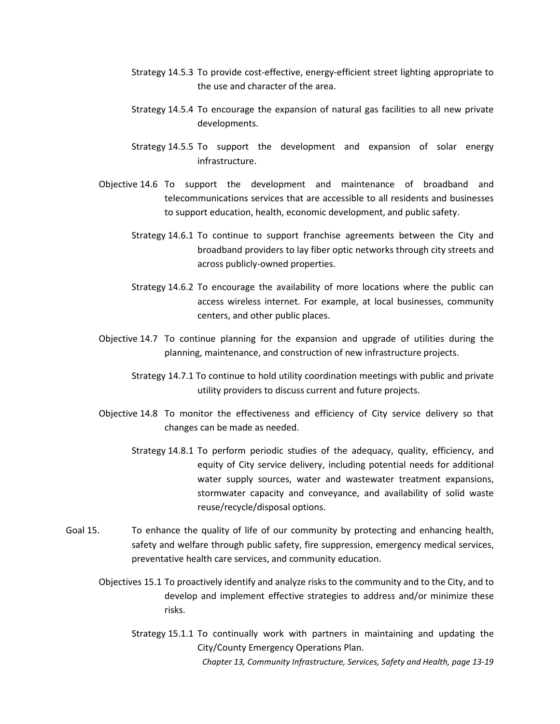discharge detection and elimination, construction site stormwater runoff control, post-construction stormwater management, and good housing keeping and pollution prevention.

- Strategy 14.3.2 To continue coordinating stormwater management in cooperation with James Madison University, Rockingham County, and the Virginia Department of Transportation.
- Strategy 14.3.3 To use stormwater management techniques, that are both effective control measures and enhance the urban environment with aesthetically pleasing features, such as expansion of urban tree canopy and bioretention.
- Strategy 14.3.4 To continue implementing the Stormwater Utility Fee and credit program to fund stormwater controls, maintain public facilities, and encourage management of stormwater on private property.
- Strategy 14.3.5 To explore the feasibility of the City participating in the Community Rating System administered by the Federal Emergency Management Agency (FEMA) for the potential benefit of reducing flood hazard insurance rates.
- Strategy 14.3.6 To implement the City's Stormwater Improvement Plan.
- Strategy 14.3.7 To continue working with the Virginia Department of Environmental Quality, the Shenandoah Valley Soil & Water Conservation District, and other partners to improve stormwater and water quality in Blacks Run and local waterways.

Strategy 14.3.8 To require mandatory inspections of remaining septic systems.

- Objective 14.4 To promote and implement strategies to reduce waste. See Chapter 10, Environmental Stewardship and Sustainability's Objective 11.7 for related strategies.
- Objective 14.5 To support the development and expansion of multifaceted energy services, prioritizing renewable sources, and corresponding infrastructure that are reliable, cost-effective, properly maintained, and responsive to customer needs.
	- Strategy 14.5.1 To support programs to increase energy efficiency of municipal operations, businesses, and households. See Chapter 10, Environmental Stewardship and Sustainability for related strategies.
	- Strategy 14.5.2 To encourage new installations of electric service be constructed underground.

*Chapter 13, Community Infrastructure, Services, Safety and Health, page 13-18*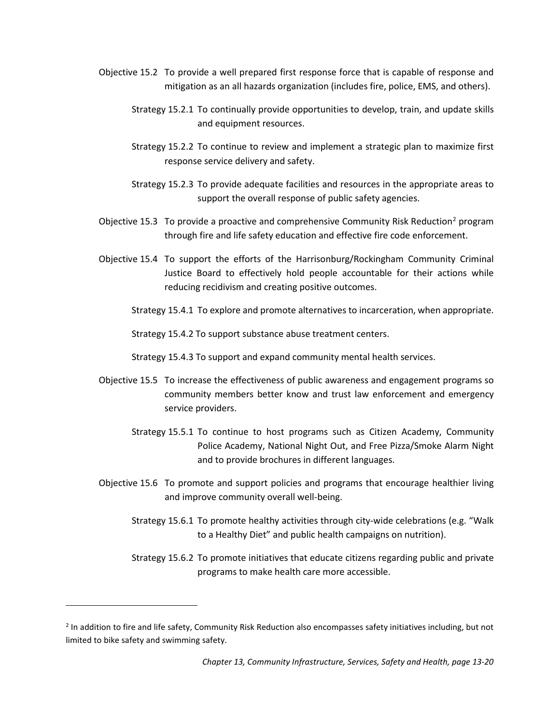- Strategy 14.5.3 To provide cost-effective, energy-efficient street lighting appropriate to the use and character of the area.
- Strategy 14.5.4 To encourage the expansion of natural gas facilities to all new private developments.
- Strategy 14.5.5 To support the development and expansion of solar energy infrastructure.
- Objective 14.6 To support the development and maintenance of broadband and telecommunications services that are accessible to all residents and businesses to support education, health, economic development, and public safety.
	- Strategy 14.6.1 To continue to support franchise agreements between the City and broadband providers to lay fiber optic networks through city streets and across publicly-owned properties.
	- Strategy 14.6.2 To encourage the availability of more locations where the public can access wireless internet. For example, at local businesses, community centers, and other public places.
- Objective 14.7 To continue planning for the expansion and upgrade of utilities during the planning, maintenance, and construction of new infrastructure projects.
	- Strategy 14.7.1 To continue to hold utility coordination meetings with public and private utility providers to discuss current and future projects.
- Objective 14.8 To monitor the effectiveness and efficiency of City service delivery so that changes can be made as needed.
	- Strategy 14.8.1 To perform periodic studies of the adequacy, quality, efficiency, and equity of City service delivery, including potential needs for additional water supply sources, water and wastewater treatment expansions, stormwater capacity and conveyance, and availability of solid waste reuse/recycle/disposal options.
- Goal 15. To enhance the quality of life of our community by protecting and enhancing health, safety and welfare through public safety, fire suppression, emergency medical services, preventative health care services, and community education.
	- Objectives 15.1 To proactively identify and analyze risks to the community and to the City, and to develop and implement effective strategies to address and/or minimize these risks.
		- *Chapter 13, Community Infrastructure, Services, Safety and Health, page 13-19* Strategy 15.1.1 To continually work with partners in maintaining and updating the City/County Emergency Operations Plan.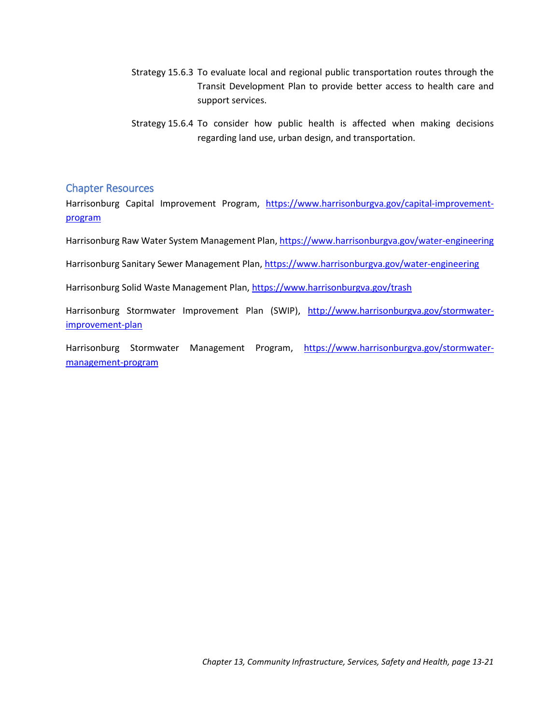- Objective 15.2 To provide a well prepared first response force that is capable of response and mitigation as an all hazards organization (includes fire, police, EMS, and others).
	- Strategy 15.2.1 To continually provide opportunities to develop, train, and update skills and equipment resources.
	- Strategy 15.2.2 To continue to review and implement a strategic plan to maximize first response service delivery and safety.
	- Strategy 15.2.3 To provide adequate facilities and resources in the appropriate areas to support the overall response of public safety agencies.
- Objective 15.3 To provide a proactive and comprehensive Community Risk Reduction<sup>[2](#page-20-0)</sup> program through fire and life safety education and effective fire code enforcement.
- Objective 15.4 To support the efforts of the Harrisonburg/Rockingham Community Criminal Justice Board to effectively hold people accountable for their actions while reducing recidivism and creating positive outcomes.
	- Strategy 15.4.1 To explore and promote alternatives to incarceration, when appropriate.

Strategy 15.4.2 To support substance abuse treatment centers.

Strategy 15.4.3 To support and expand community mental health services.

- Objective 15.5 To increase the effectiveness of public awareness and engagement programs so community members better know and trust law enforcement and emergency service providers.
	- Strategy 15.5.1 To continue to host programs such as Citizen Academy, Community Police Academy, National Night Out, and Free Pizza/Smoke Alarm Night and to provide brochures in different languages.
- Objective 15.6 To promote and support policies and programs that encourage healthier living and improve community overall well-being.
	- Strategy 15.6.1 To promote healthy activities through city-wide celebrations (e.g. "Walk to a Healthy Diet" and public health campaigns on nutrition).
	- Strategy 15.6.2 To promote initiatives that educate citizens regarding public and private programs to make health care more accessible.

 $\overline{\phantom{a}}$ 

<span id="page-20-0"></span><sup>&</sup>lt;sup>2</sup> In addition to fire and life safety, Community Risk Reduction also encompasses safety initiatives including, but not limited to bike safety and swimming safety.